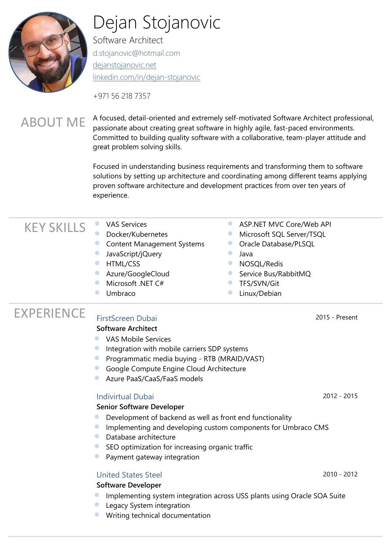

# Dejan Stojanovic

Software Architect [d.stojanovic@hotmail.com](mailto:d.stojanovic@hotmail.com) [dejanstojanovic.net](http://dejanstojanovic.net/) [linkedin.com/in/dejan-stojanovic](https://www.linkedin.com/in/dejan-stojanovic/)

+971 56 218 7357

#### ABOUT ME A focused, detail-oriented and extremely self-motivated Software Architect professional, passionate about creating great software in highly agile, fast-paced environments. Committed to building quality software with a collaborative, team-player attitude and great problem solving skills.

Focused in understanding business requirements and transforming them to software solutions by setting up architecture and coordinating among different teams applying proven software architecture and development practices from over ten years of experience.

### KEY SKILLS WAS Services

- 
- Docker/Kubernetes
- **Content Management Systems**
- **JavaScript/jQuery**
- **HTML/CSS**
- **Azure/GoogleCloud**
- Microsoft .NET C#
- **Umbraco**
- **ASP.NET MVC Core/Web API**
- **Microsoft SQL Server/TSQL**
- **Oracle Database/PLSQL**
- **•** Java
- **NOSOL/Redis**
- **Service Bus/RabbitMQ**
- **TFS/SVN/Git**
- **C** Linux/Debian

## EXPERIENCE [FirstScreen](http://indivirtualdubai.com/) Dubai <sup>2015</sup> - Present

### **Software Architect**

- **VAS Mobile Services**
- **Integration with mobile carriers SDP systems**
- **•** Programmatic media buying RTB (MRAID/VAST)
- **Google Compute Engine Cloud Architecture**
- **C** Azure PaaS/CaaS/FaaS models

### [Indivirtual Dubai](http://indivirtualdubai.com/) 2012 - 2015

#### **Senior Software Developer**

- **O** Development of backend as well as front end functionality
- **Implementing and developing custom components for Umbraco CMS**
- **Database architecture**
- **SEO** optimization for increasing organic traffic
- **•** Payment gateway integration

### [United States Steel](https://www.ussteel.com/) 2010 - 2012

#### **Software Developer**

- **Implementing system integration across USS plants using Oracle SOA Suite**
- **C** Legacy System integration
- Writing technical documentation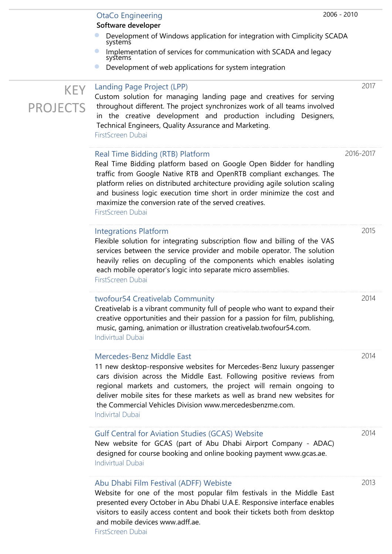|                         | 2006 - 2010<br><b>OtaCo Engineering</b><br>Software developer                                                                                                                                                                                                                                                                                                                                                          |           |
|-------------------------|------------------------------------------------------------------------------------------------------------------------------------------------------------------------------------------------------------------------------------------------------------------------------------------------------------------------------------------------------------------------------------------------------------------------|-----------|
|                         | Development of Windows application for integration with Cimplicity SCADA<br>systems<br>Implementation of services for communication with SCADA and legacy<br>systems<br>Development of web applications for system integration<br>$\bullet$                                                                                                                                                                            |           |
| KEY.<br><b>PROJECTS</b> | Landing Page Project (LPP)<br>Custom solution for managing landing page and creatives for serving<br>throughout different. The project synchronizes work of all teams involved<br>in the creative development and production including Designers,<br>Technical Engineers, Quality Assurance and Marketing.<br>FirstScreen Dubai                                                                                        | 2017      |
|                         | Real Time Bidding (RTB) Platform<br>Real Time Bidding platform based on Google Open Bidder for handling<br>traffic from Google Native RTB and OpenRTB compliant exchanges. The<br>platform relies on distributed architecture providing agile solution scaling<br>and business logic execution time short in order minimize the cost and<br>maximize the conversion rate of the served creatives.<br>FirstScreen Dubai | 2016-2017 |
|                         | <b>Integrations Platform</b><br>Flexible solution for integrating subscription flow and billing of the VAS<br>services between the service provider and mobile operator. The solution<br>heavily relies on decupling of the components which enables isolating<br>each mobile operator's logic into separate micro assemblies.<br>FirstScreen Dubai                                                                    | 2015      |
|                         | twofour54 Creativelab Community<br>Creativelab is a vibrant community full of people who want to expand their<br>creative opportunities and their passion for a passion for film, publishing,<br>music, gaming, animation or illustration creativelab.twofour54.com.<br><b>Indivirtual Dubai</b>                                                                                                                       | 2014      |
|                         | Mercedes-Benz Middle East<br>11 new desktop-responsive websites for Mercedes-Benz luxury passenger<br>cars division across the Middle East. Following positive reviews from<br>regional markets and customers, the project will remain ongoing to<br>deliver mobile sites for these markets as well as brand new websites for<br>the Commercial Vehicles Division www.mercedesbenzme.com.<br><b>Indivirtal Dubai</b>   | 2014      |
|                         | <b>Gulf Central for Aviation Studies (GCAS) Website</b><br>New website for GCAS (part of Abu Dhabi Airport Company - ADAC)<br>designed for course booking and online booking payment www.gcas.ae.<br><b>Indivirtual Dubai</b>                                                                                                                                                                                          | 2014      |
|                         | Abu Dhabi Film Festival (ADFF) Webiste                                                                                                                                                                                                                                                                                                                                                                                 | 2013      |

Website for one of the most popular film festivals in the Middle East presented every October in Abu Dhabi U.A.E. Responsive interface enables visitors to easily access content and book their tickets both from desktop and mobile devices www.adff.ae.